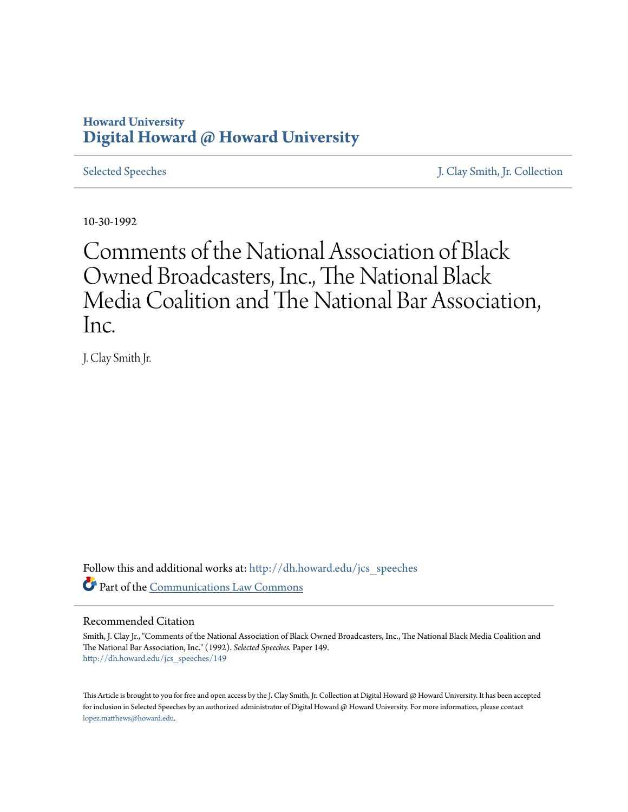# **Howard University [Digital Howard @ Howard University](http://dh.howard.edu?utm_source=dh.howard.edu%2Fjcs_speeches%2F149&utm_medium=PDF&utm_campaign=PDFCoverPages)**

[Selected Speeches](http://dh.howard.edu/jcs_speeches?utm_source=dh.howard.edu%2Fjcs_speeches%2F149&utm_medium=PDF&utm_campaign=PDFCoverPages) [J. Clay Smith, Jr. Collection](http://dh.howard.edu/jcsmith?utm_source=dh.howard.edu%2Fjcs_speeches%2F149&utm_medium=PDF&utm_campaign=PDFCoverPages)

10-30-1992

Comments of the National Association of Black Owned Broadcasters, Inc., The National Black Media Coalition and The National Bar Association, Inc.

J. Clay Smith Jr.

Follow this and additional works at: [http://dh.howard.edu/jcs\\_speeches](http://dh.howard.edu/jcs_speeches?utm_source=dh.howard.edu%2Fjcs_speeches%2F149&utm_medium=PDF&utm_campaign=PDFCoverPages) Part of the [Communications Law Commons](http://network.bepress.com/hgg/discipline/587?utm_source=dh.howard.edu%2Fjcs_speeches%2F149&utm_medium=PDF&utm_campaign=PDFCoverPages)

### Recommended Citation

Smith, J. Clay Jr., "Comments of the National Association of Black Owned Broadcasters, Inc., The National Black Media Coalition and The National Bar Association, Inc." (1992). *Selected Speeches.* Paper 149. [http://dh.howard.edu/jcs\\_speeches/149](http://dh.howard.edu/jcs_speeches/149?utm_source=dh.howard.edu%2Fjcs_speeches%2F149&utm_medium=PDF&utm_campaign=PDFCoverPages)

This Article is brought to you for free and open access by the J. Clay Smith, Jr. Collection at Digital Howard @ Howard University. It has been accepted for inclusion in Selected Speeches by an authorized administrator of Digital Howard @ Howard University. For more information, please contact [lopez.matthews@howard.edu.](mailto:lopez.matthews@howard.edu)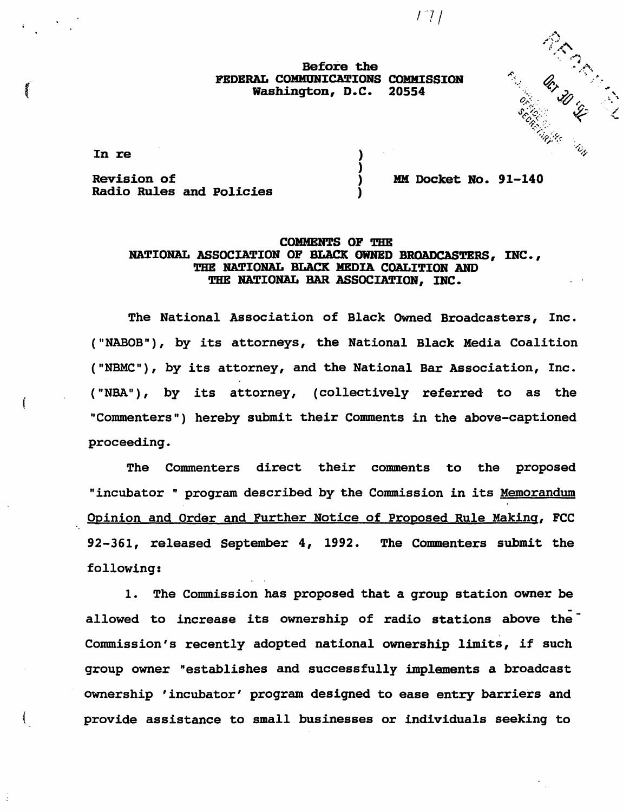$171$ 

Before the FEDERAL COMMUNICATIONS COMMISSION<br>Washington, D.C. 20554 Washington, D.C.

> ) ) ) )

In re

Revision of Radio Rules and Policies MM Docket No. 91-140

render de la Render de la Caracha de la Caracha de la Caracha de la Caracha de la Caracha de la Caracha de la

# COMMENTS OF THE NATIONAL ASSOCIATION OP BLACK OWNED BROADCASTERS, INC., THE NATIONAL BLACK MEDIA COALITION AND THE NATIONAL BAR ASSOCIATION, INC.

The National Association of Black Owned Broadcasters, Inc. ("NABOB"), by its attorneys, the National Black Media Coalition ("NBMC"), by its attorney, and the National Bar Association, Inc. ("NBA"), by its attorney, (collectively referred to as the "Commenters") hereby submit their Comments in the above-captioned proceeding.

The Commenters direct their comments to the proposed "incubator " program described by the Commission in its Memorandum Opinion and Order and Further Notice of Proposed Rule Making, FCC 92-361, released September 4, 1992. The Commenters submit the following:

1. The Commission has proposed that a group station owner be allowed to increase its ownership of radio stations above the<sup>-</sup> Commission's recently adopted national ownership limits, if such group owner "establishes and successfully implements a broadcast ownership 'incubator' program designed to ease entry barriers and provide assistance to small businesses or individuals seeking to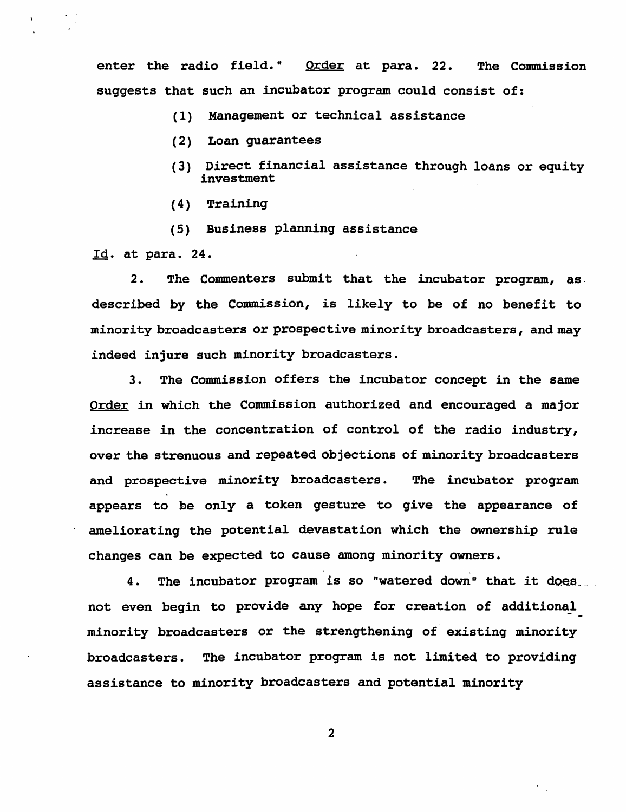enter the radio field." Order at para. 22. The Commission suggests that such an incubator program could consist of:

- (1) Management or technical assistance
- (2) Loan guarantees
- (3) Direct financial assistance through loans or equity investment
- $(4)$  Training
- (5) Business planning assistance

Id. at para. 24.

2. The Commenters submit that the incubator program, as. described by the Commission, is likely to be of no benefit to minority broadcasters or prospective minority broadcasters, and may indeed injure such minority broadcasters.

3. The Commission offers the incubator concept in the same Order in which the Commission authorized and encouraged a major increase in the concentration of control of the radio industry, over the strenuous and repeated objections of minority broadcasters and prospective minority broadcasters. The incubator program appears to be only a token gesture to give the appearance of ameliorating the potential devastation which the ownership rule changes can be expected to cause among minority owners.

4. The incubator program is so "watered down" that it does not even begin to provide any hope for creation of additional minority broadcasters or the strengthening of existing minority broadcasters. The incubator program is not limited to providing assistance to minority broadcasters and potential minority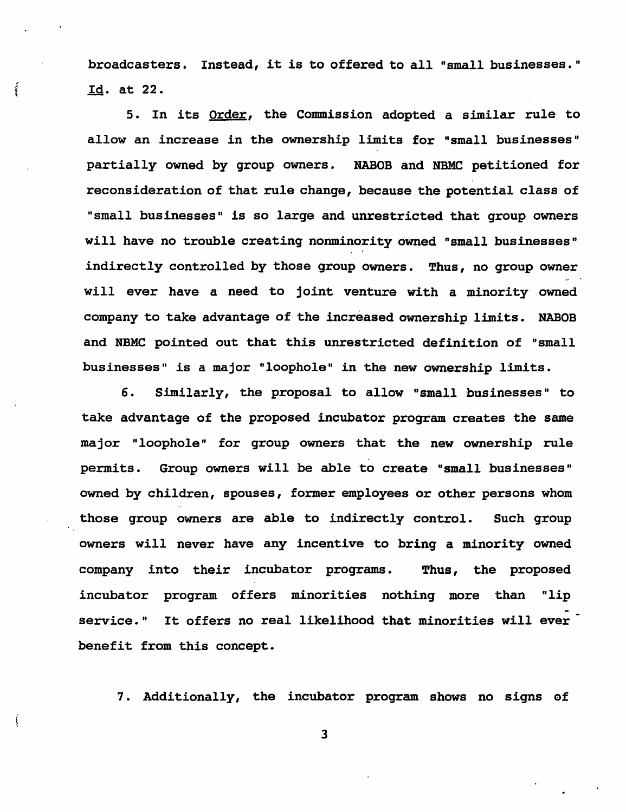broadcasters. Instead, it is to offered to all "small businesses." Id. at 22.

 $\tilde{q}$ 

Ś

5. In its Order, the Commission adopted a similar rule to allow an increase in the ownership limits for "small businesses" partially owned by group owners. NABOB and NBMC petitioned for reconsideration of that rule change, because the potential class of "small businesses" is so large and unrestricted that group owners will have no trouble creating nonminority owned "small businesses" indirectly controlled by those group owners. Thus, no group owner will ever have a need to joint venture with a minority owned company to take advantage of the increased ownership limits. NABOB and NBMC pointed out that this unrestricted definition of "small businesses" is a major "loophole" in the new ownership limits.

6. Similarly, the proposal to allow "small businesses" to take advantage of the proposed incubator program creates the same major "loophole" for group owners that the new ownership rule permits. Group owners will be able to create "small businesses" owned by children, spouses, former employees or other persons whom those group owners are able to indirectly control. Such group owners will never have any incentive to bring a minority owned company into their incubator programs. Thus, the proposed incubator program offers minorities nothing more than "lip service." It offers no real likelihood that minorities will ever benefit from this concept.

7. Additionally, the incubator program shows no signs of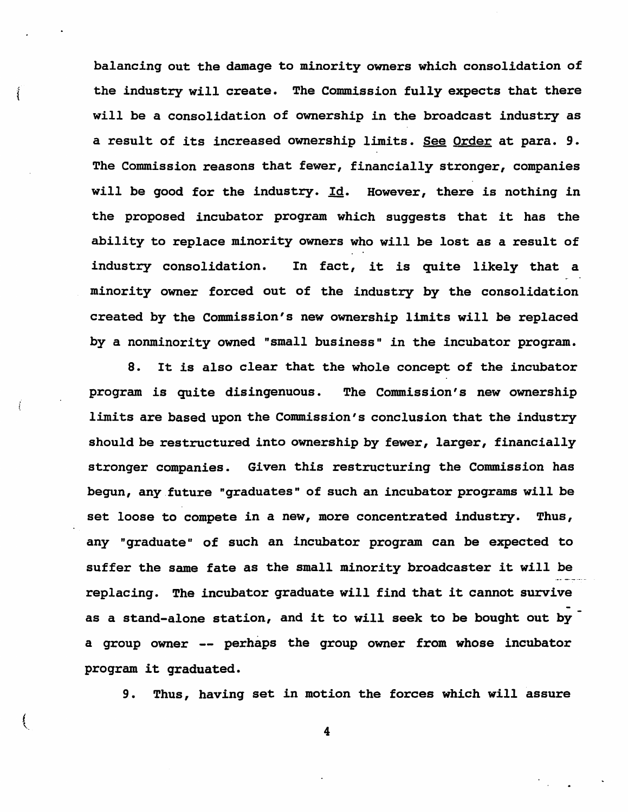balancing out the damage to minority owners which consolidation of the industry will create. The Commission fully expects that there will be a consolidation of ownership in the broadcast industry as a result of its increased ownership limits. See Order at para. 9. The Commission reasons that fewer, financially stronger, companies will be good for the industry. Id. However, there is nothing in the proposed incubator program which suggests that it has the ability to replace minority owners who will be lost as a result of industry consolidation. In fact, it is quite likely that a minority owner forced out of the industry by the consolidation created by the Commission's new ownership limits will be replaced by a nonminority owned "small business" in the incubator program.

Î

Ï

S. It is also clear that the whole concept of the incubator program is quite disingenuous. The Commission's new ownership limits are based upon the Commission's conclusion that the industry *should* be restructured into ownership by fewer, larger, financially stronger companies. Given this restructuring the Commission has begun, any future "graduates" of such an incubator programs will be set loose to compete in a new, more concentrated industry. Thus, any "graduate" of such an incubator program can be expected to suffer the same fate as the small minority broadcaster it will be replacing. The incubator graduate will find that it cannot survive as a stand-alone station, and it to will seek to be bought out by a group owner -- perhaps the group owner from whose incubator program it graduated.

9. Thus, having set in motion the forces which will assure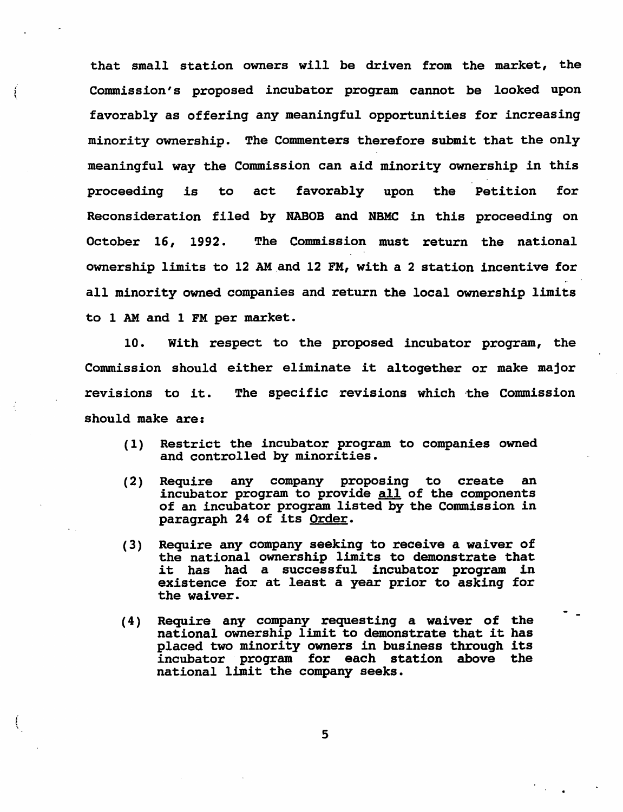that small station owners will be driven from the market, the Commission's proposed incubator program cannot be looked upon favorably as offering any meaningful opportunities for increasing minority ownership. The Commenters therefore submit that the only meaningful way the Commission can aid minority ownership in this proceeding is to act favorably upon the Petition for Reconsideration filed by NABOB and NBMC in this proceeding on October 16, 1992. The Commission must return the national ownership limits to 12 AM and 12 FM, with a 2 station incentive for all minority owned companies and return the local ownership limits to 1 AM and 1 FM per market.

ŧ

10. With respect to the proposed incubator program, the Commission should either eliminate it altogether or make major revisions to it. The specific revisions which the Commission should make are:

- (1) Restrict the incubator program to companies owned and controlled by minorities.
- (2) Require any company proposing to create an incubator program to provide all of the components of an incubator program listed by the Commission in paragraph 24 of its Order.
- (3) Require any company seeking to receive a waiver of the national ownership limits to demonstrate that it has had a successful incubator program in existence for at least a year prior to asking for the waiver.
- (4) Require any company requesting a waiver of the national ownership limit to demonstrate that it has placed two minority owners in business through its incubator program for each station above the national limit the company seeks.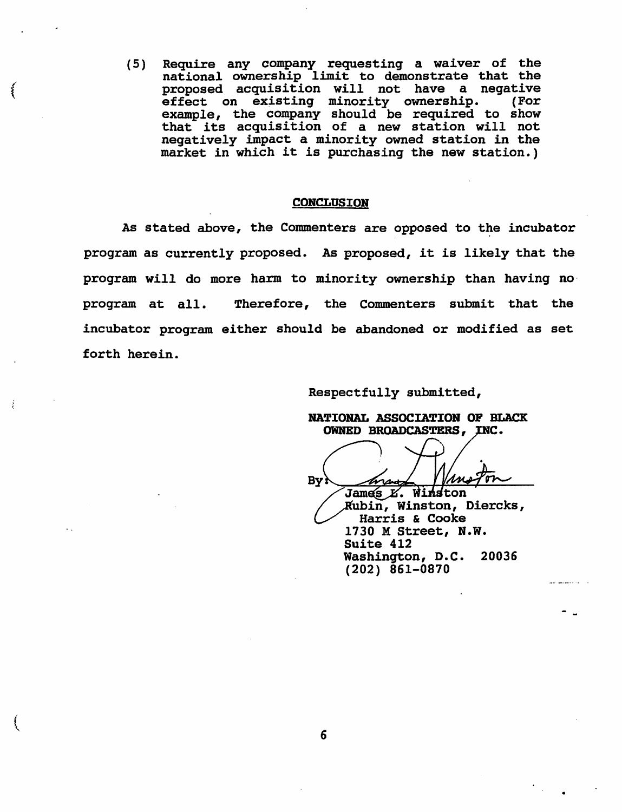(5) Require any company requesting a waiver of the national ownership limit to demonstrate that the<br>proposed acquisition will not have a negative proposed acquisition will not have a negative effect on existing minority ownership. (For example, the company should be required to show that its acquisition of a new station will not negatively impact a minority owned station in the market in which it is purchasing the new station.)

#### **CONCLUSION**

As stated above, the Commenters are opposed to the incubator program as currently proposed. As proposed, it is likely that the program will do more harm to minority ownership than having no· program at all. Therefore, the Commenters submit that the incubator program either should be abandoned or modified as set forth herein.

Respectfully submitted,

NATIONAL ASSOCIATION OF BLACK OWNED BROADCASTERS, INC.

By. James E. Winston<br>James E. Winston<br>Rubin, Winston, Diercks,<br>Harris & Cooke<br>1730 M Street, N.W. ubin, Winston, Diercks, Harris & Cooke 1730 M Street, N.W. Suite 412 Washington, D.C. 20036 (202) 861-0870